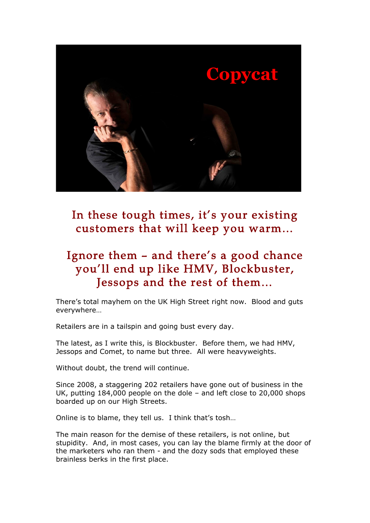

In these tough times, it's your existing customers that will keep you warm…

# Ignore them – and there's a good chance you'll end up like HMV, Blockbuster, Jessops and the rest of them…

There's total mayhem on the UK High Street right now. Blood and guts everywhere…

Retailers are in a tailspin and going bust every day.

The latest, as I write this, is Blockbuster. Before them, we had HMV, Jessops and Comet, to name but three. All were heavyweights.

Without doubt, the trend will continue.

Since 2008, a staggering 202 retailers have gone out of business in the UK, putting 184,000 people on the dole – and left close to 20,000 shops boarded up on our High Streets.

Online is to blame, they tell us. I think that's tosh…

The main reason for the demise of these retailers, is not online, but stupidity. And, in most cases, you can lay the blame firmly at the door of the marketers who ran them - and the dozy sods that employed these brainless berks in the first place.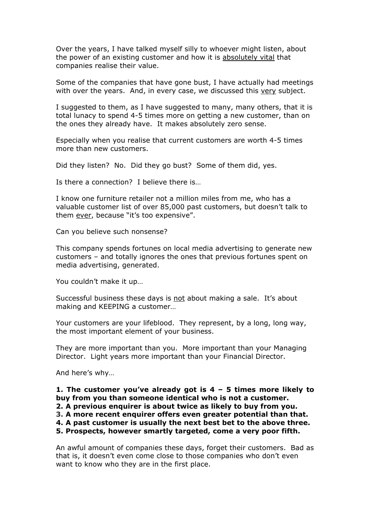Over the years, I have talked myself silly to whoever might listen, about the power of an existing customer and how it is absolutely vital that companies realise their value.

Some of the companies that have gone bust, I have actually had meetings with over the years. And, in every case, we discussed this very subject.

I suggested to them, as I have suggested to many, many others, that it is total lunacy to spend 4-5 times more on getting a new customer, than on the ones they already have. It makes absolutely zero sense.

Especially when you realise that current customers are worth 4-5 times more than new customers.

Did they listen? No. Did they go bust? Some of them did, yes.

Is there a connection? I believe there is…

I know one furniture retailer not a million miles from me, who has a valuable customer list of over 85,000 past customers, but doesn't talk to them ever, because "it's too expensive".

Can you believe such nonsense?

This company spends fortunes on local media advertising to generate new customers – and totally ignores the ones that previous fortunes spent on media advertising, generated.

You couldn't make it up…

Successful business these days is not about making a sale. It's about making and KEEPING a customer…

Your customers are your lifeblood. They represent, by a long, long way, the most important element of your business.

They are more important than you. More important than your Managing Director. Light years more important than your Financial Director.

And here's why…

**1. The customer you've already got is 4 – 5 times more likely to buy from you than someone identical who is not a customer.**

**2. A previous enquirer is about twice as likely to buy from you.**

**3. A more recent enquirer offers even greater potential than that.**

**4. A past customer is usually the next best bet to the above three.**

**5. Prospects, however smartly targeted, come a very poor fifth.**

An awful amount of companies these days, forget their customers. Bad as that is, it doesn't even come close to those companies who don't even want to know who they are in the first place.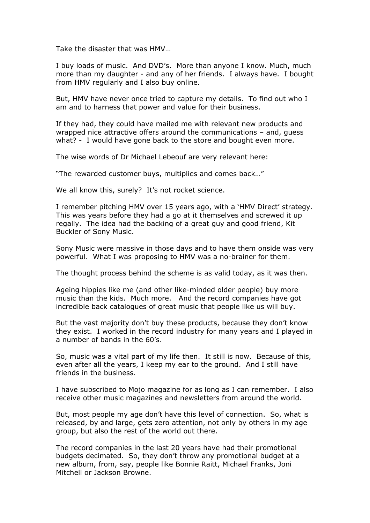Take the disaster that was HMV…

I buy loads of music. And DVD's. More than anyone I know. Much, much more than my daughter - and any of her friends. I always have. I bought from HMV regularly and I also buy online.

But, HMV have never once tried to capture my details. To find out who I am and to harness that power and value for their business.

If they had, they could have mailed me with relevant new products and wrapped nice attractive offers around the communications – and, guess what? - I would have gone back to the store and bought even more.

The wise words of Dr Michael Lebeouf are very relevant here:

"The rewarded customer buys, multiplies and comes back…"

We all know this, surely? It's not rocket science.

I remember pitching HMV over 15 years ago, with a 'HMV Direct' strategy. This was years before they had a go at it themselves and screwed it up regally. The idea had the backing of a great guy and good friend, Kit Buckler of Sony Music.

Sony Music were massive in those days and to have them onside was very powerful. What I was proposing to HMV was a no-brainer for them.

The thought process behind the scheme is as valid today, as it was then.

Ageing hippies like me (and other like-minded older people) buy more music than the kids. Much more. And the record companies have got incredible back catalogues of great music that people like us will buy.

But the vast majority don't buy these products, because they don't know they exist. I worked in the record industry for many years and I played in a number of bands in the 60's.

So, music was a vital part of my life then. It still is now. Because of this, even after all the years, I keep my ear to the ground. And I still have friends in the business.

I have subscribed to Mojo magazine for as long as I can remember. I also receive other music magazines and newsletters from around the world.

But, most people my age don't have this level of connection. So, what is released, by and large, gets zero attention, not only by others in my age group, but also the rest of the world out there.

The record companies in the last 20 years have had their promotional budgets decimated. So, they don't throw any promotional budget at a new album, from, say, people like Bonnie Raitt, Michael Franks, Joni Mitchell or Jackson Browne.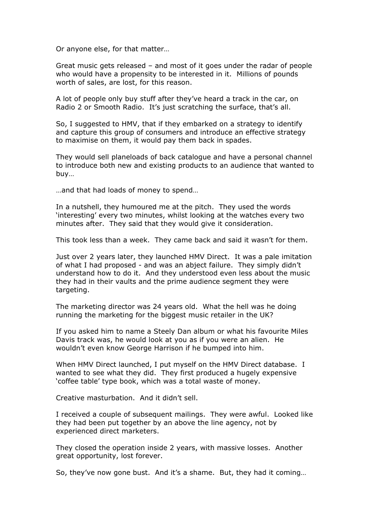Or anyone else, for that matter…

Great music gets released – and most of it goes under the radar of people who would have a propensity to be interested in it. Millions of pounds worth of sales, are lost, for this reason.

A lot of people only buy stuff after they've heard a track in the car, on Radio 2 or Smooth Radio. It's just scratching the surface, that's all.

So, I suggested to HMV, that if they embarked on a strategy to identify and capture this group of consumers and introduce an effective strategy to maximise on them, it would pay them back in spades.

They would sell planeloads of back catalogue and have a personal channel to introduce both new and existing products to an audience that wanted to buy…

…and that had loads of money to spend…

In a nutshell, they humoured me at the pitch. They used the words 'interesting' every two minutes, whilst looking at the watches every two minutes after. They said that they would give it consideration.

This took less than a week. They came back and said it wasn't for them.

Just over 2 years later, they launched HMV Direct. It was a pale imitation of what I had proposed - and was an abject failure. They simply didn't understand how to do it. And they understood even less about the music they had in their vaults and the prime audience segment they were targeting.

The marketing director was 24 years old. What the hell was he doing running the marketing for the biggest music retailer in the UK?

If you asked him to name a Steely Dan album or what his favourite Miles Davis track was, he would look at you as if you were an alien. He wouldn't even know George Harrison if he bumped into him.

When HMV Direct launched, I put myself on the HMV Direct database. I wanted to see what they did. They first produced a hugely expensive 'coffee table' type book, which was a total waste of money.

Creative masturbation. And it didn't sell.

I received a couple of subsequent mailings. They were awful. Looked like they had been put together by an above the line agency, not by experienced direct marketers.

They closed the operation inside 2 years, with massive losses. Another great opportunity, lost forever.

So, they've now gone bust. And it's a shame. But, they had it coming…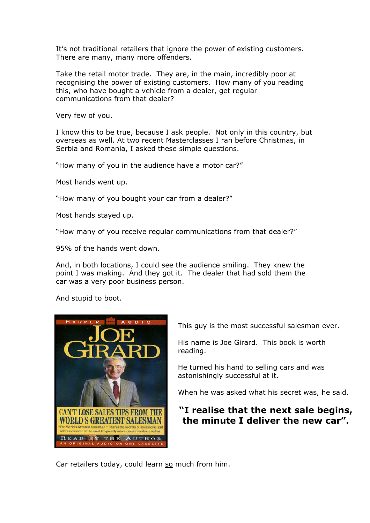It's not traditional retailers that ignore the power of existing customers. There are many, many more offenders.

Take the retail motor trade. They are, in the main, incredibly poor at recognising the power of existing customers. How many of you reading this, who have bought a vehicle from a dealer, get regular communications from that dealer?

Very few of you.

I know this to be true, because I ask people. Not only in this country, but overseas as well. At two recent Masterclasses I ran before Christmas, in Serbia and Romania, I asked these simple questions.

"How many of you in the audience have a motor car?"

Most hands went up.

"How many of you bought your car from a dealer?"

Most hands stayed up.

"How many of you receive regular communications from that dealer?"

95% of the hands went down.

And, in both locations, I could see the audience smiling. They knew the point I was making. And they got it. The dealer that had sold them the car was a very poor business person.

And stupid to boot.



This guy is the most successful salesman ever.

His name is Joe Girard. This book is worth reading.

He turned his hand to selling cars and was astonishingly successful at it.

When he was asked what his secret was, he said.

### **"I realise that the next sale begins, the minute I deliver the new car".**

Car retailers today, could learn so much from him.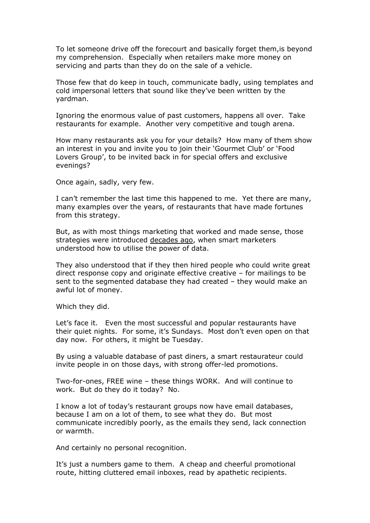To let someone drive off the forecourt and basically forget them,is beyond my comprehension. Especially when retailers make more money on servicing and parts than they do on the sale of a vehicle.

Those few that do keep in touch, communicate badly, using templates and cold impersonal letters that sound like they've been written by the yardman.

Ignoring the enormous value of past customers, happens all over. Take restaurants for example. Another very competitive and tough arena.

How many restaurants ask you for your details? How many of them show an interest in you and invite you to join their 'Gourmet Club' or 'Food Lovers Group', to be invited back in for special offers and exclusive evenings?

Once again, sadly, very few.

I can't remember the last time this happened to me. Yet there are many, many examples over the years, of restaurants that have made fortunes from this strategy.

But, as with most things marketing that worked and made sense, those strategies were introduced decades ago, when smart marketers understood how to utilise the power of data.

They also understood that if they then hired people who could write great direct response copy and originate effective creative – for mailings to be sent to the segmented database they had created – they would make an awful lot of money.

Which they did.

Let's face it. Even the most successful and popular restaurants have their quiet nights. For some, it's Sundays. Most don't even open on that day now. For others, it might be Tuesday.

By using a valuable database of past diners, a smart restaurateur could invite people in on those days, with strong offer-led promotions.

Two-for-ones, FREE wine – these things WORK. And will continue to work. But do they do it today? No.

I know a lot of today's restaurant groups now have email databases, because I am on a lot of them, to see what they do. But most communicate incredibly poorly, as the emails they send, lack connection or warmth.

And certainly no personal recognition.

It's just a numbers game to them. A cheap and cheerful promotional route, hitting cluttered email inboxes, read by apathetic recipients.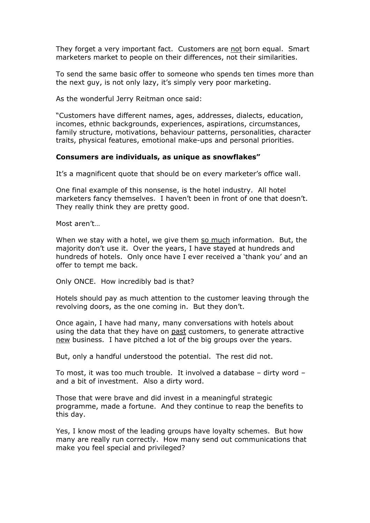They forget a very important fact. Customers are not born equal. Smart marketers market to people on their differences, not their similarities.

To send the same basic offer to someone who spends ten times more than the next guy, is not only lazy, it's simply very poor marketing.

As the wonderful Jerry Reitman once said:

"Customers have different names, ages, addresses, dialects, education, incomes, ethnic backgrounds, experiences, aspirations, circumstances, family structure, motivations, behaviour patterns, personalities, character traits, physical features, emotional make-ups and personal priorities.

#### **Consumers are individuals, as unique as snowflakes"**

It's a magnificent quote that should be on every marketer's office wall.

One final example of this nonsense, is the hotel industry. All hotel marketers fancy themselves. I haven't been in front of one that doesn't. They really think they are pretty good.

Most aren't…

When we stay with a hotel, we give them so much information. But, the majority don't use it. Over the years, I have stayed at hundreds and hundreds of hotels. Only once have I ever received a 'thank you' and an offer to tempt me back.

Only ONCE. How incredibly bad is that?

Hotels should pay as much attention to the customer leaving through the revolving doors, as the one coming in. But they don't.

Once again, I have had many, many conversations with hotels about using the data that they have on past customers, to generate attractive new business. I have pitched a lot of the big groups over the years.

But, only a handful understood the potential. The rest did not.

To most, it was too much trouble. It involved a database – dirty word – and a bit of investment. Also a dirty word.

Those that were brave and did invest in a meaningful strategic programme, made a fortune. And they continue to reap the benefits to this day.

Yes, I know most of the leading groups have loyalty schemes. But how many are really run correctly. How many send out communications that make you feel special and privileged?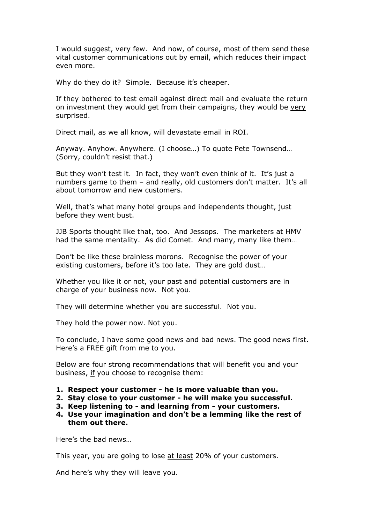I would suggest, very few. And now, of course, most of them send these vital customer communications out by email, which reduces their impact even more.

Why do they do it? Simple. Because it's cheaper.

If they bothered to test email against direct mail and evaluate the return on investment they would get from their campaigns, they would be very surprised.

Direct mail, as we all know, will devastate email in ROI.

Anyway. Anyhow. Anywhere. (I choose…) To quote Pete Townsend… (Sorry, couldn't resist that.)

But they won't test it. In fact, they won't even think of it. It's just a numbers game to them – and really, old customers don't matter. It's all about tomorrow and new customers.

Well, that's what many hotel groups and independents thought, just before they went bust.

JJB Sports thought like that, too. And Jessops. The marketers at HMV had the same mentality. As did Comet. And many, many like them…

Don't be like these brainless morons. Recognise the power of your existing customers, before it's too late. They are gold dust…

Whether you like it or not, your past and potential customers are in charge of your business now. Not you.

They will determine whether you are successful. Not you.

They hold the power now. Not you.

To conclude, I have some good news and bad news. The good news first. Here's a FREE gift from me to you.

Below are four strong recommendations that will benefit you and your business, if you choose to recognise them:

- **1. Respect your customer he is more valuable than you.**
- **2. Stay close to your customer he will make you successful.**
- **3. Keep listening to and learning from your customers.**
- **4. Use your imagination and don't be a lemming like the rest of them out there.**

Here's the bad news…

This year, you are going to lose at least 20% of your customers.

And here's why they will leave you.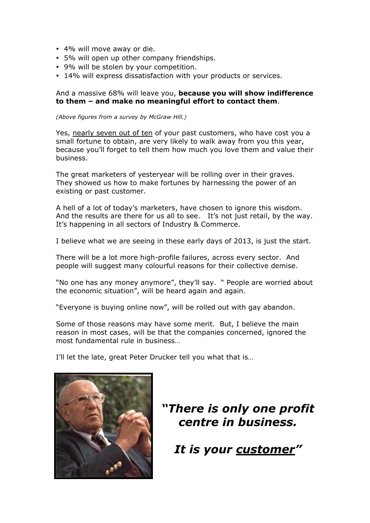- 4% will move away or die.
- 5% will open up other company friendships.
- 9% will be stolen by your competition.
- 14% will express dissatisfaction with your products or services.

### And a massive 68% will leave you, **because you will show indifference to them – and make no meaningful effort to contact them**.

*(Above figures from a survey by McGraw Hill.)*

Yes, nearly seven out of ten of your past customers, who have cost you a small fortune to obtain, are very likely to walk away from you this year, because you'll forget to tell them how much you love them and value their business.

The great marketers of yesteryear will be rolling over in their graves. They showed us how to make fortunes by harnessing the power of an existing or past customer.

A hell of a lot of today's marketers, have chosen to ignore this wisdom. And the results are there for us all to see. It's not just retail, by the way. It's happening in all sectors of Industry & Commerce.

I believe what we are seeing in these early days of 2013, is just the start.

There will be a lot more high-profile failures, across every sector. And people will suggest many colourful reasons for their collective demise.

"No one has any money anymore", they'll say. " People are worried about the economic situation", will be heard again and again.

"Everyone is buying online now", will be rolled out with gay abandon.

Some of those reasons may have some merit. But, I believe the main reason in most cases, will be that the companies concerned, ignored the most fundamental rule in business…

I'll let the late, great Peter Drucker tell you what that is…



# *"There is only one profit centre in business.*

*It is your customer"*